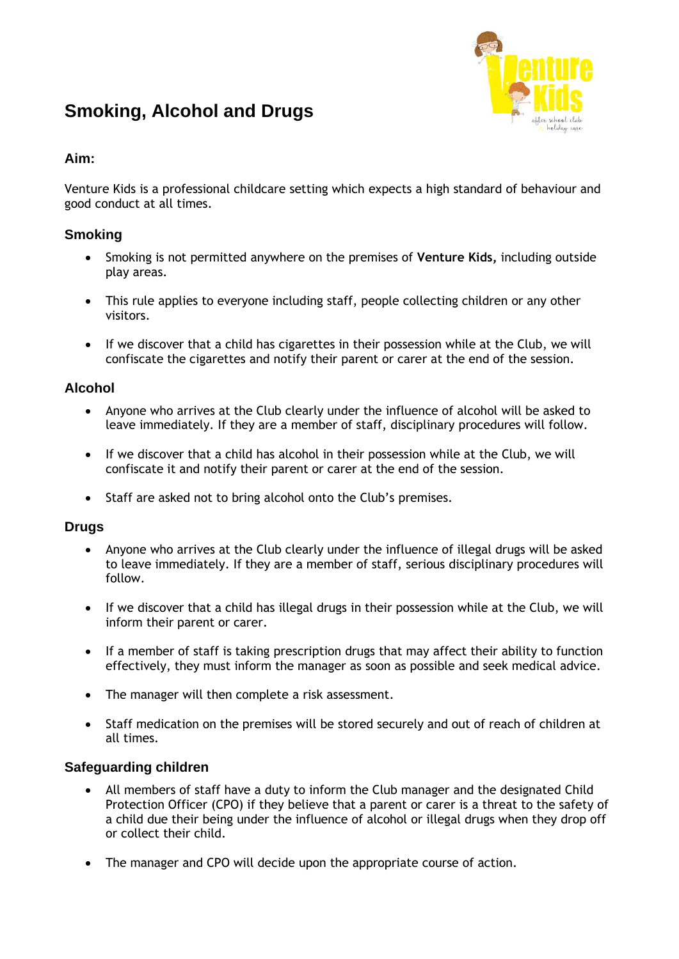# **Smoking, Alcohol and Drugs**



# **Aim:**

Venture Kids is a professional childcare setting which expects a high standard of behaviour and good conduct at all times.

## **Smoking**

- Smoking is not permitted anywhere on the premises of **Venture Kids,** including outside play areas.
- This rule applies to everyone including staff, people collecting children or any other visitors.
- If we discover that a child has cigarettes in their possession while at the Club, we will confiscate the cigarettes and notify their parent or carer at the end of the session.

### **Alcohol**

- Anyone who arrives at the Club clearly under the influence of alcohol will be asked to leave immediately. If they are a member of staff, disciplinary procedures will follow.
- If we discover that a child has alcohol in their possession while at the Club, we will confiscate it and notify their parent or carer at the end of the session.
- Staff are asked not to bring alcohol onto the Club's premises.

#### **Drugs**

- Anyone who arrives at the Club clearly under the influence of illegal drugs will be asked to leave immediately. If they are a member of staff, serious disciplinary procedures will follow.
- If we discover that a child has illegal drugs in their possession while at the Club, we will inform their parent or carer.
- If a member of staff is taking prescription drugs that may affect their ability to function effectively, they must inform the manager as soon as possible and seek medical advice.
- The manager will then complete a risk assessment.
- Staff medication on the premises will be stored securely and out of reach of children at all times.

#### **Safeguarding children**

- All members of staff have a duty to inform the Club manager and the designated Child Protection Officer (CPO) if they believe that a parent or carer is a threat to the safety of a child due their being under the influence of alcohol or illegal drugs when they drop off or collect their child.
- The manager and CPO will decide upon the appropriate course of action.